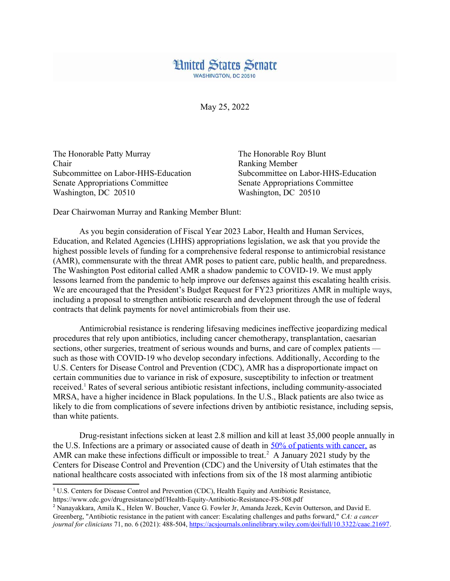

May 25, 2022

The Honorable Patty Murray The Honorable Roy Blunt Chair Ranking Member Senate Appropriations Committee Senate Appropriations Committee Washington, DC 20510 Washington, DC 20510

Subcommittee on Labor-HHS-Education Subcommittee on Labor-HHS-Education

Dear Chairwoman Murray and Ranking Member Blunt:

As you begin consideration of Fiscal Year 2023 Labor, Health and Human Services, Education, and Related Agencies (LHHS) appropriations legislation, we ask that you provide the highest possible levels of funding for a comprehensive federal response to antimicrobial resistance (AMR), commensurate with the threat AMR poses to patient care, public health, and preparedness. The Washington Post editorial called AMR a shadow pandemic to COVID-19. We must apply lessons learned from the pandemic to help improve our defenses against this escalating health crisis. We are encouraged that the President's Budget Request for FY23 prioritizes AMR in multiple ways, including a proposal to strengthen antibiotic research and development through the use of federal contracts that delink payments for novel antimicrobials from their use.

Antimicrobial resistance is rendering lifesaving medicines ineffective jeopardizing medical procedures that rely upon antibiotics, including cancer chemotherapy, transplantation, caesarian sections, other surgeries, treatment of serious wounds and burns, and care of complex patients such as those with COVID-19 who develop secondary infections. Additionally, According to the U.S. Centers for Disease Control and Prevention (CDC), AMR has a disproportionate impact on certain communities due to variance in risk of exposure, susceptibility to infection or treatment received.<sup>[1](#page-0-1)</sup> Rates of several serious antibiotic resistant infections, including community-associated MRSA, have a higher incidence in Black populations. In the U.S., Black patients are also twice as likely to die from complications of severe infections driven by antibiotic resistance, including sepsis, than white patients.

<span id="page-0-2"></span><span id="page-0-0"></span>Drug-resistant infections sicken at least 2.8 million and kill at least 35,000 people annually in the U.S. Infections are a primary or associated cause of death in [50% of patients with cancer,](https://acsjournals.onlinelibrary.wiley.com/doi/full/10.3322/caac.21697) as AMR can make these infections difficult or impossible to treat.<sup>[2](#page-0-3)</sup> A January 2021 study by the Centers for Disease Control and Prevention (CDC) and the University of Utah estimates that the national healthcare costs associated with infections from six of the 18 most alarming antibiotic

<span id="page-0-1"></span><sup>&</sup>lt;sup>[1](#page-0-0)</sup> U.S. Centers for Disease Control and Prevention (CDC). Health Equity and Antibiotic Resistance, https://www.cdc.gov/drugresistance/pdf/Health-Equity-Antibiotic-Resistance-FS-508.pdf

<span id="page-0-3"></span>[<sup>2</sup>](#page-0-2) Nanayakkara, Amila K., Helen W. Boucher, Vance G. Fowler Jr, Amanda Jezek, Kevin Outterson, and David E. Greenberg, "Antibiotic resistance in the patient with cancer: Escalating challenges and paths forward," *CA: a cancer journal for clinicians* 71, no. 6 (2021): 488-504, <https://acsjournals.onlinelibrary.wiley.com/doi/full/10.3322/caac.21697>.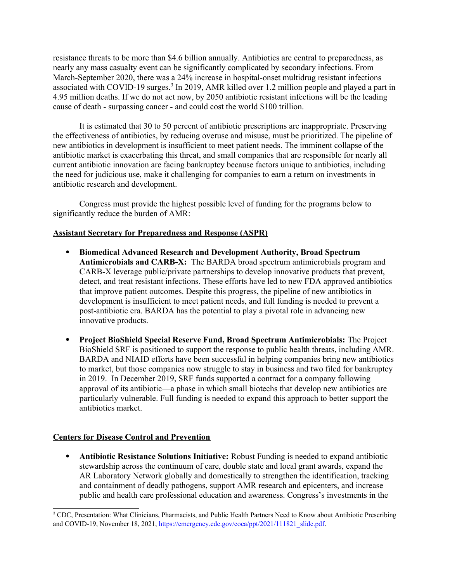<span id="page-1-0"></span>resistance threats to be more than \$4.6 billion annually. Antibiotics are central to preparedness, as nearly any mass casualty event can be significantly complicated by secondary infections. From March-September 2020, there was a 24% increase in hospital-onset multidrug resistant infections associated with COVID-19 surges.<sup>[3](#page-1-1)</sup> In 2019, AMR killed over 1.2 million people and played a part in 4.95 million deaths. If we do not act now, by 2050 antibiotic resistant infections will be the leading cause of death - surpassing cancer - and could cost the world \$100 trillion.

It is estimated that 30 to 50 percent of antibiotic prescriptions are inappropriate. Preserving the effectiveness of antibiotics, by reducing overuse and misuse, must be prioritized. The pipeline of new antibiotics in development is insufficient to meet patient needs. The imminent collapse of the antibiotic market is exacerbating this threat, and small companies that are responsible for nearly all current antibiotic innovation are facing bankruptcy because factors unique to antibiotics, including the need for judicious use, make it challenging for companies to earn a return on investments in antibiotic research and development.

Congress must provide the highest possible level of funding for the programs below to significantly reduce the burden of AMR:

## **Assistant Secretary for Preparedness and Response (ASPR)**

- **Biomedical Advanced Research and Development Authority, Broad Spectrum Antimicrobials and CARB-X:** The BARDA broad spectrum antimicrobials program and CARB-X leverage public/private partnerships to develop innovative products that prevent, detect, and treat resistant infections. These efforts have led to new FDA approved antibiotics that improve patient outcomes. Despite this progress, the pipeline of new antibiotics in development is insufficient to meet patient needs, and full funding is needed to prevent a post-antibiotic era. BARDA has the potential to play a pivotal role in advancing new innovative products.
- **Project BioShield Special Reserve Fund, Broad Spectrum Antimicrobials:** The Project BioShield SRF is positioned to support the response to public health threats, including AMR. BARDA and NIAID efforts have been successful in helping companies bring new antibiotics to market, but those companies now struggle to stay in business and two filed for bankruptcy in 2019. In December 2019, SRF funds supported a contract for a company following approval of its antibiotic—a phase in which small biotechs that develop new antibiotics are particularly vulnerable. Full funding is needed to expand this approach to better support the antibiotics market.

## **Centers for Disease Control and Prevention**

 **Antibiotic Resistance Solutions Initiative:** Robust Funding is needed to expand antibiotic stewardship across the continuum of care, double state and local grant awards, expand the AR Laboratory Network globally and domestically to strengthen the identification, tracking and containment of deadly pathogens, support AMR research and epicenters, and increase public and health care professional education and awareness. Congress's investments in the

<span id="page-1-1"></span><sup>&</sup>lt;sup>[3](#page-1-0)</sup> CDC. Presentation: What Clinicians, Pharmacists, and Public Health Partners Need to Know about Antibiotic Prescribing and COVID-19, November 18, 2021, [https://emergency.cdc.gov/coca/ppt/2021/111821\\_slide.pdf.](https://emergency.cdc.gov/coca/ppt/2021/111821_slide.pdf)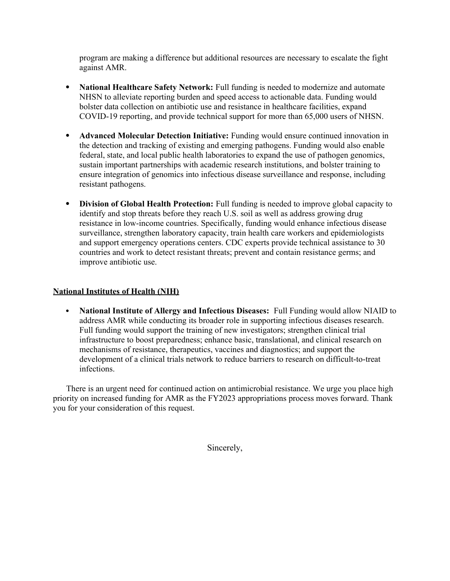program are making a difference but additional resources are necessary to escalate the fight against AMR.

- **National Healthcare Safety Network:** Full funding is needed to modernize and automate NHSN to alleviate reporting burden and speed access to actionable data. Funding would bolster data collection on antibiotic use and resistance in healthcare facilities, expand COVID-19 reporting, and provide technical support for more than 65,000 users of NHSN.
- **Advanced Molecular Detection Initiative:** Funding would ensure continued innovation in the detection and tracking of existing and emerging pathogens. Funding would also enable federal, state, and local public health laboratories to expand the use of pathogen genomics, sustain important partnerships with academic research institutions, and bolster training to ensure integration of genomics into infectious disease surveillance and response, including resistant pathogens.
- **Division of Global Health Protection:** Full funding is needed to improve global capacity to identify and stop threats before they reach U.S. soil as well as address growing drug resistance in low-income countries. Specifically, funding would enhance infectious disease surveillance, strengthen laboratory capacity, train health care workers and epidemiologists and support emergency operations centers. CDC experts provide technical assistance to 30 countries and work to detect resistant threats; prevent and contain resistance germs; and improve antibiotic use.

## **National Institutes of Health (NIH)**

 **National Institute of Allergy and Infectious Diseases:** Full Funding would allow NIAID to address AMR while conducting its broader role in supporting infectious diseases research. Full funding would support the training of new investigators; strengthen clinical trial infrastructure to boost preparedness; enhance basic, translational, and clinical research on mechanisms of resistance, therapeutics, vaccines and diagnostics; and support the development of a clinical trials network to reduce barriers to research on difficult-to-treat infections.

There is an urgent need for continued action on antimicrobial resistance. We urge you place high priority on increased funding for AMR as the FY2023 appropriations process moves forward. Thank you for your consideration of this request.

Sincerely,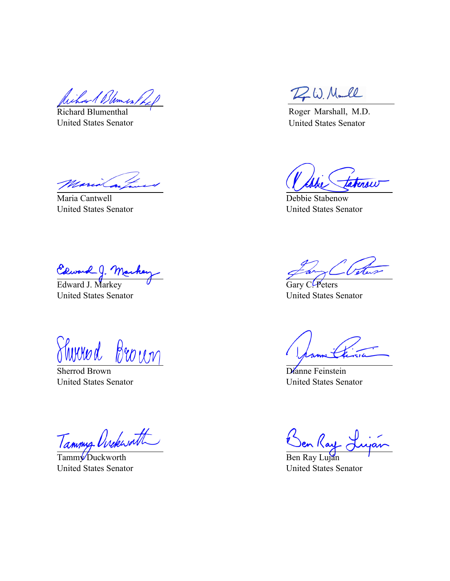Wilson & Blomes

Richard Blumenthal United States Senator

Maria Cantwell United States Senator

Clward J. Marke

United States Senator

<u>Sherrod Brown</u> nnnna

United States Senator

Tammy Ovekworth

United States Senator

DW. Maull

Roger Marshall, M.D. United States Senator

Terow

Debbie Stabenow United States Senator

Nete

Gary C. Peters United States Senator

Dianne Feinstein United States Senator

Ben Ray Luján United States Senator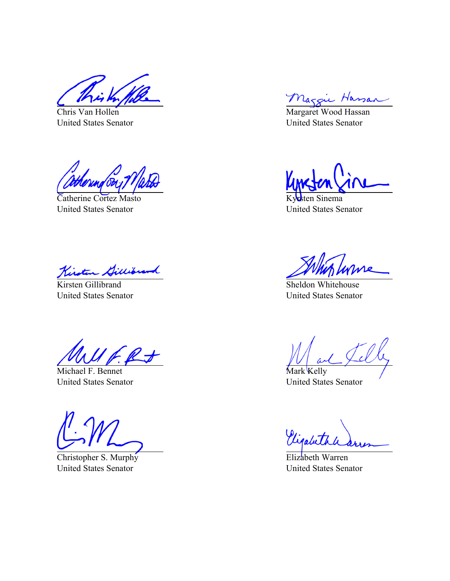Chris Van Hollen United States Senator

Catherine Cortez Masto United States Senator

Kirsten Gillibran

United States Senator

Michael F. Bennet United States Senator

Christopher S. Murphy United States Senator

Maggie Hassan

United States Senator

Kyrsten Sinema United States Senator

Sheldon Whitehouse United States Senator

Mark Kelly United States Senator

Vigabeth

Elizabeth Warren United States Senator